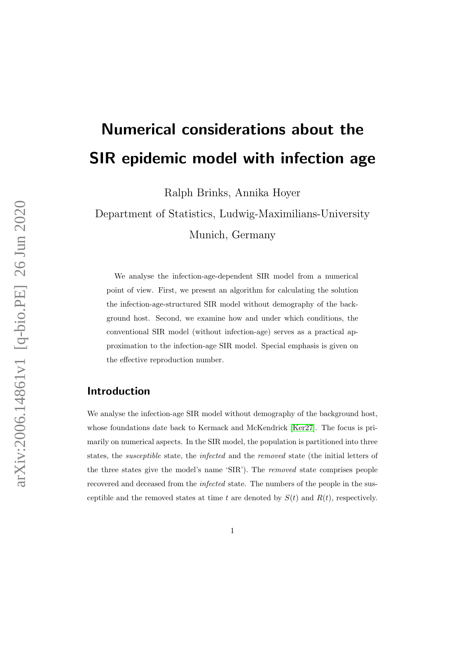# Numerical considerations about the SIR epidemic model with infection age

Ralph Brinks, Annika Hoyer

Department of Statistics, Ludwig-Maximilians-University Munich, Germany

We analyse the infection-age-dependent SIR model from a numerical point of view. First, we present an algorithm for calculating the solution the infection-age-structured SIR model without demography of the background host. Second, we examine how and under which conditions, the conventional SIR model (without infection-age) serves as a practical approximation to the infection-age SIR model. Special emphasis is given on the effective reproduction number.

### Introduction

We analyse the infection-age SIR model without demography of the background host, whose foundations date back to Kermack and McKendrick [\[Ker27\]](#page-9-0). The focus is primarily on numerical aspects. In the SIR model, the population is partitioned into three states, the susceptible state, the infected and the removed state (the initial letters of the three states give the model's name 'SIR'). The removed state comprises people recovered and deceased from the infected state. The numbers of the people in the susceptible and the removed states at time t are denoted by  $S(t)$  and  $R(t)$ , respectively.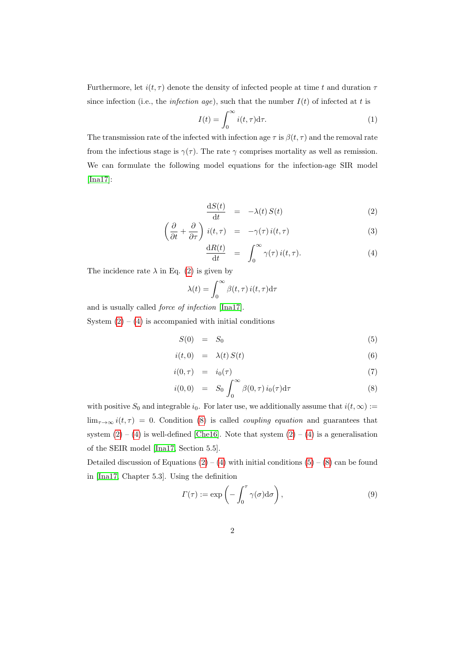Furthermore, let  $i(t, \tau)$  denote the density of infected people at time t and duration  $\tau$ since infection (i.e., the *infection age*), such that the number  $I(t)$  of infected at t is

<span id="page-1-2"></span>
$$
I(t) = \int_0^\infty i(t,\tau) \mathrm{d}\tau. \tag{1}
$$

The transmission rate of the infected with infection age  $\tau$  is  $\beta(t, \tau)$  and the removal rate from the infectious stage is  $\gamma(\tau)$ . The rate  $\gamma$  comprises mortality as well as remission. We can formulate the following model equations for the infection-age SIR model [\[Ina17\]](#page-9-1):

<span id="page-1-0"></span>
$$
\frac{\mathrm{d}S(t)}{\mathrm{d}t} = -\lambda(t) S(t) \tag{2}
$$

$$
\left(\frac{\partial}{\partial t} + \frac{\partial}{\partial \tau}\right) i(t, \tau) = -\gamma(\tau) i(t, \tau) \tag{3}
$$

$$
\frac{\mathrm{d}R(t)}{\mathrm{d}t} = \int_0^\infty \gamma(\tau) i(t, \tau). \tag{4}
$$

The incidence rate  $\lambda$  in Eq. [\(2\)](#page-1-0) is given by

$$
\lambda(t) = \int_0^\infty \beta(t,\tau) \, i(t,\tau) \mathrm{d}\tau
$$

and is usually called force of infection [\[Ina17\]](#page-9-1).

System  $(2) - (4)$  $(2) - (4)$  $(2) - (4)$  is accompanied with initial conditions

<span id="page-1-1"></span>
$$
S(0) = S_0 \tag{5}
$$

$$
i(t,0) = \lambda(t) S(t) \tag{6}
$$

$$
i(0,\tau) = i_0(\tau) \tag{7}
$$

$$
i(0,0) = S_0 \int_0^\infty \beta(0,\tau) i_0(\tau) d\tau \tag{8}
$$

with positive  $S_0$  and integrable  $i_0$ . For later use, we additionally assume that  $i(t, \infty) :=$  $\lim_{\tau\to\infty} i(t,\tau) = 0$ . Condition [\(8\)](#page-1-1) is called *coupling equation* and guarantees that system  $(2) - (4)$  $(2) - (4)$  $(2) - (4)$  is well-defined [\[Che16\]](#page-9-2). Note that system  $(2) - (4)$  is a generalisation of the SEIR model [\[Ina17,](#page-9-1) Section 5.5].

Detailed discussion of Equations  $(2) - (4)$  $(2) - (4)$  $(2) - (4)$  with initial conditions  $(5) - (8)$  $(5) - (8)$  $(5) - (8)$  can be found in [\[Ina17,](#page-9-1) Chapter 5.3]. Using the definition

<span id="page-1-3"></span>
$$
\Gamma(\tau) := \exp\left(-\int_0^{\tau} \gamma(\sigma) d\sigma\right),\tag{9}
$$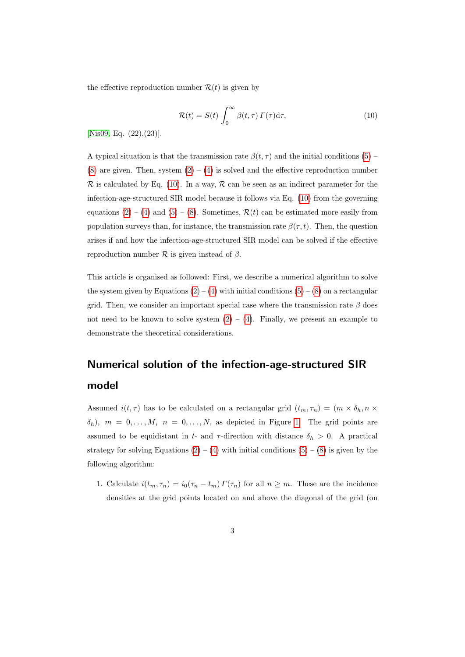the effective reproduction number  $\mathcal{R}(t)$  is given by

<span id="page-2-0"></span>
$$
\mathcal{R}(t) = S(t) \int_0^\infty \beta(t, \tau) \, \Gamma(\tau) \mathrm{d}\tau,\tag{10}
$$

[\[Nis09,](#page-9-3) Eq.  $(22),(23)$ ].

A typical situation is that the transmission rate  $\beta(t, \tau)$  and the initial conditions [\(5\)](#page-1-1) –  $(8)$  are given. Then, system  $(2) - (4)$  $(2) - (4)$  $(2) - (4)$  is solved and the effective reproduction number  $\mathcal R$  is calculated by Eq. [\(10\)](#page-2-0). In a way,  $\mathcal R$  can be seen as an indirect parameter for the infection-age-structured SIR model because it follows via Eq. [\(10\)](#page-2-0) from the governing equations  $(2) - (4)$  $(2) - (4)$  $(2) - (4)$  and  $(5) - (8)$  $(5) - (8)$  $(5) - (8)$ . Sometimes,  $\mathcal{R}(t)$  can be estimated more easily from population surveys than, for instance, the transmission rate  $\beta(\tau, t)$ . Then, the question arises if and how the infection-age-structured SIR model can be solved if the effective reproduction number  $\mathcal R$  is given instead of  $\beta$ .

This article is organised as followed: First, we describe a numerical algorithm to solve the system given by Equations  $(2) - (4)$  $(2) - (4)$  $(2) - (4)$  with initial conditions  $(5) - (8)$  $(5) - (8)$  $(5) - (8)$  on a rectangular grid. Then, we consider an important special case where the transmission rate  $\beta$  does not need to be known to solve system  $(2) - (4)$  $(2) - (4)$  $(2) - (4)$ . Finally, we present an example to demonstrate the theoretical considerations.

# Numerical solution of the infection-age-structured SIR model

Assumed  $i(t, \tau)$  has to be calculated on a rectangular grid  $(t_m, \tau_n) = (m \times \delta_h, n \times$  $\delta_h$ ),  $m = 0, \ldots, M$ ,  $n = 0, \ldots, N$ , as depicted in Figure [1.](#page-3-0) The grid points are assumed to be equidistant in t- and  $\tau$ -direction with distance  $\delta_h > 0$ . A practical strategy for solving Equations  $(2) - (4)$  $(2) - (4)$  $(2) - (4)$  with initial conditions  $(5) - (8)$  $(5) - (8)$  $(5) - (8)$  is given by the following algorithm:

1. Calculate  $i(t_m, \tau_n) = i_0(\tau_n - t_m) \Gamma(\tau_n)$  for all  $n \geq m$ . These are the incidence densities at the grid points located on and above the diagonal of the grid (on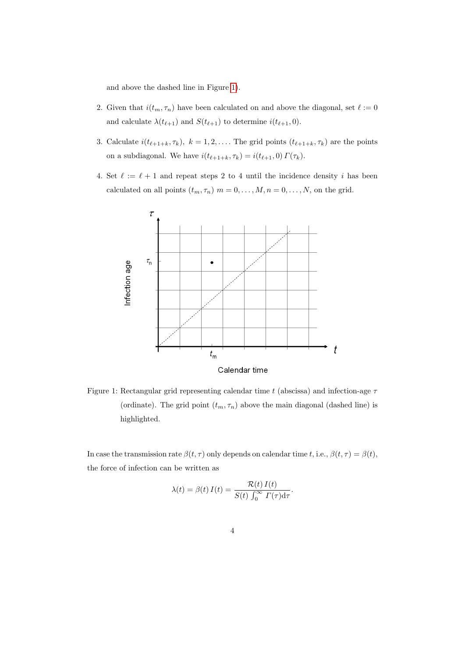and above the dashed line in Figure [1\)](#page-3-0).

- 2. Given that  $i(t_m, \tau_n)$  have been calculated on and above the diagonal, set  $\ell := 0$ and calculate  $\lambda(t_{\ell+1})$  and  $S(t_{\ell+1})$  to determine  $i(t_{\ell+1}, 0)$ .
- 3. Calculate  $i(t_{\ell+1+k}, \tau_k), k = 1, 2, \ldots$ . The grid points  $(t_{\ell+1+k}, \tau_k)$  are the points on a subdiagonal. We have  $i(t_{\ell+1+k}, \tau_k) = i(t_{\ell+1}, 0) \Gamma(\tau_k)$ .
- 4. Set  $\ell := \ell + 1$  and repeat steps 2 to 4 until the incidence density i has been calculated on all points  $(t_m, \tau_n)$   $m = 0, \ldots, M, n = 0, \ldots, N$ , on the grid.



<span id="page-3-0"></span>Figure 1: Rectangular grid representing calendar time t (abscissa) and infection-age  $\tau$ (ordinate). The grid point  $(t_m, \tau_n)$  above the main diagonal (dashed line) is highlighted.

In case the transmission rate  $\beta(t, \tau)$  only depends on calendar time t, i.e.,  $\beta(t, \tau) = \beta(t)$ , the force of infection can be written as

$$
\lambda(t) = \beta(t) I(t) = \frac{\mathcal{R}(t) I(t)}{S(t) \int_0^\infty I(\tau) d\tau}.
$$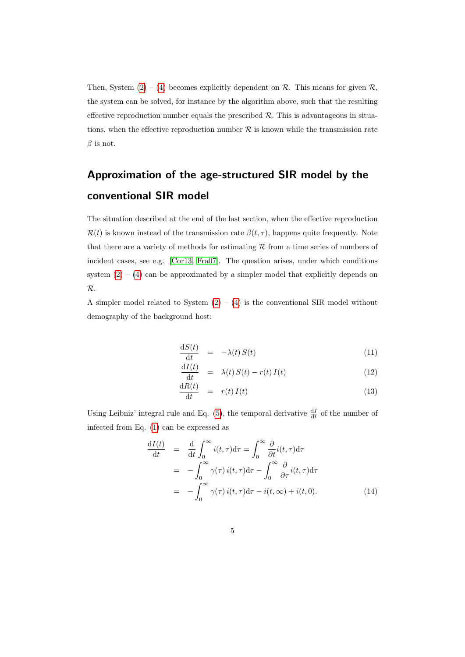Then, System  $(2) - (4)$  $(2) - (4)$  $(2) - (4)$  becomes explicitly dependent on  $\mathcal{R}$ . This means for given  $\mathcal{R}$ , the system can be solved, for instance by the algorithm above, such that the resulting effective reproduction number equals the prescribed  $R$ . This is advantageous in situations, when the effective reproduction number  $R$  is known while the transmission rate  $\beta$  is not.

# Approximation of the age-structured SIR model by the conventional SIR model

The situation described at the end of the last section, when the effective reproduction  $\mathcal{R}(t)$  is known instead of the transmission rate  $\beta(t, \tau)$ , happens quite frequently. Note that there are a variety of methods for estimating  $R$  from a time series of numbers of incident cases, see e.g. [\[Cor13,](#page-9-4) [Fra07\]](#page-9-5). The question arises, under which conditions system  $(2) - (4)$  $(2) - (4)$  $(2) - (4)$  can be approximated by a simpler model that explicitly depends on R.

A simpler model related to System  $(2) - (4)$  $(2) - (4)$  $(2) - (4)$  is the conventional SIR model without demography of the background host:

<span id="page-4-1"></span>
$$
\frac{\mathrm{d}S(t)}{\mathrm{d}t} = -\lambda(t) S(t) \tag{11}
$$

$$
\frac{\mathrm{d}I(t)}{\mathrm{d}t} = \lambda(t) S(t) - r(t) I(t) \tag{12}
$$

$$
\frac{\mathrm{d}R(t)}{\mathrm{d}t} = r(t) I(t) \tag{13}
$$

Using Leibniz' integral rule and Eq. [\(5\)](#page-1-1), the temporal derivative  $\frac{dI}{dt}$  of the number of infected from Eq. [\(1\)](#page-1-2) can be expressed as

<span id="page-4-0"></span>
$$
\frac{dI(t)}{dt} = \frac{d}{dt} \int_0^\infty i(t,\tau)d\tau = \int_0^\infty \frac{\partial}{\partial t} i(t,\tau)d\tau \n= -\int_0^\infty \gamma(\tau) i(t,\tau)d\tau - \int_0^\infty \frac{\partial}{\partial \tau} i(t,\tau)d\tau \n= -\int_0^\infty \gamma(\tau) i(t,\tau)d\tau - i(t,\infty) + i(t,0).
$$
\n(14)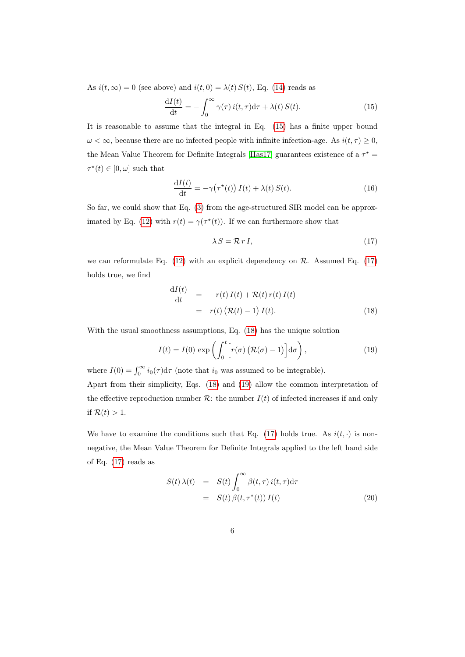As  $i(t, \infty) = 0$  (see above) and  $i(t, 0) = \lambda(t) S(t)$ , Eq. [\(14\)](#page-4-0) reads as

<span id="page-5-0"></span>
$$
\frac{\mathrm{d}I(t)}{\mathrm{d}t} = -\int_0^\infty \gamma(\tau) i(t, \tau) \mathrm{d}\tau + \lambda(t) S(t). \tag{15}
$$

It is reasonable to assume that the integral in Eq. [\(15\)](#page-5-0) has a finite upper bound  $\omega < \infty$ , because there are no infected people with infinite infection-age. As  $i(t, \tau) \geq 0$ , the Mean Value Theorem for Definite Integrals [\[Has17\]](#page-9-6) guarantees existence of a  $\tau^*$  =  $\tau^*(t) \in [0, \omega]$  such that

$$
\frac{\mathrm{d}I(t)}{\mathrm{d}t} = -\gamma\big(\tau^*(t)\big) I(t) + \lambda(t) S(t). \tag{16}
$$

So far, we could show that Eq. [\(3\)](#page-1-0) from the age-structured SIR model can be approx-imated by Eq. [\(12\)](#page-4-1) with  $r(t) = \gamma(\tau^*(t))$ . If we can furthermore show that

<span id="page-5-1"></span>
$$
\lambda S = \mathcal{R} r I,\tag{17}
$$

we can reformulate Eq.  $(12)$  with an explicit dependency on  $\mathcal{R}$ . Assumed Eq.  $(17)$ holds true, we find

<span id="page-5-2"></span>
$$
\frac{dI(t)}{dt} = -r(t) I(t) + \mathcal{R}(t) r(t) I(t)
$$
  
=  $r(t) (\mathcal{R}(t) - 1) I(t).$  (18)

With the usual smoothness assumptions, Eq. [\(18\)](#page-5-2) has the unique solution

<span id="page-5-3"></span>
$$
I(t) = I(0) \exp\left(\int_0^t \left[r(\sigma) \left(\mathcal{R}(\sigma) - 1\right)\right] d\sigma\right),\tag{19}
$$

where  $I(0) = \int_0^\infty i_0(\tau) d\tau$  (note that  $i_0$  was assumed to be integrable). Apart from their simplicity, Eqs. [\(18\)](#page-5-2) and [\(19\)](#page-5-3) allow the common interpretation of the effective reproduction number  $\mathcal{R}$ : the number  $I(t)$  of infected increases if and only if  $\mathcal{R}(t) > 1$ .

We have to examine the conditions such that Eq. [\(17\)](#page-5-1) holds true. As  $i(t, \cdot)$  is nonnegative, the Mean Value Theorem for Definite Integrals applied to the left hand side of Eq. [\(17\)](#page-5-1) reads as

<span id="page-5-4"></span>
$$
S(t)\,\lambda(t) = S(t)\int_0^\infty \beta(t,\tau)\,i(t,\tau)\mathrm{d}\tau
$$

$$
= S(t)\,\beta(t,\tau^*(t))\,I(t) \tag{20}
$$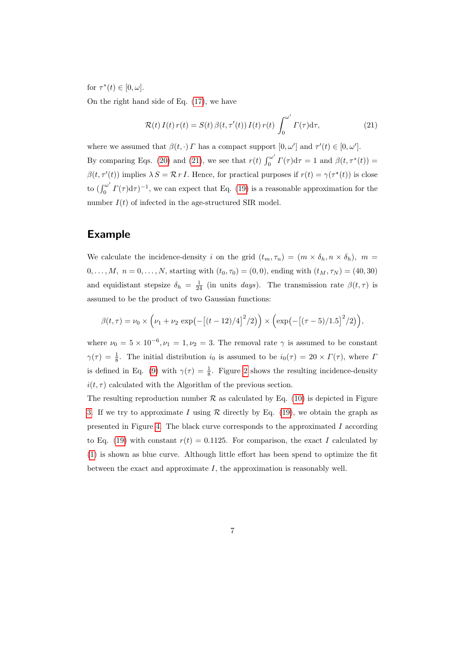for  $\tau^*(t) \in [0, \omega]$ .

On the right hand side of Eq. [\(17\)](#page-5-1), we have

<span id="page-6-0"></span>
$$
\mathcal{R}(t) I(t) r(t) = S(t) \beta(t, \tau'(t)) I(t) r(t) \int_0^{\omega'} \Gamma(\tau) d\tau,
$$
\n(21)

where we assumed that  $\beta(t, \cdot)$  *Γ* has a compact support  $[0, \omega']$  and  $\tau'(t) \in [0, \omega']$ . By comparing Eqs. [\(20\)](#page-5-4) and [\(21\)](#page-6-0), we see that  $r(t) \int_0^{\omega'}$  $\int_0^{\omega} \Gamma(\tau) d\tau = 1$  and  $\beta(t, \tau^*(t)) =$  $\beta(t, \tau'(t))$  implies  $\lambda S = \mathcal{R} r I$ . Hence, for practical purposes if  $r(t) = \gamma(\tau^*(t))$  is close to  $\int_0^{\omega'}$  $\int_0^{\omega} \Gamma(\tau) d\tau$  , we can expect that Eq. [\(19\)](#page-5-3) is a reasonable approximation for the number  $I(t)$  of infected in the age-structured SIR model.

#### Example

We calculate the incidence-density i on the grid  $(t_m, \tau_n) = (m \times \delta_h, n \times \delta_h), m =$  $0, \ldots, M, n = 0, \ldots, N$ , starting with  $(t_0, \tau_0) = (0, 0)$ , ending with  $(t_M, \tau_N) = (40, 30)$ and equidistant stepsize  $\delta_h = \frac{1}{24}$  (in units *days*). The transmission rate  $\beta(t, \tau)$  is assumed to be the product of two Gaussian functions:

$$
\beta(t,\tau) = \nu_0 \times (\nu_1 + \nu_2 \exp(-[(t-12)/4]^2/2)) \times (\exp(-[(\tau-5)/1.5]^2/2)),
$$

where  $\nu_0 = 5 \times 10^{-6}, \nu_1 = 1, \nu_2 = 3$ . The removal rate  $\gamma$  is assumed to be constant  $\gamma(\tau) = \frac{1}{8}$ . The initial distribution  $i_0$  is assumed to be  $i_0(\tau) = 20 \times \Gamma(\tau)$ , where I is defined in Eq. [\(9\)](#page-1-3) with  $\gamma(\tau) = \frac{1}{8}$ . Figure [2](#page-7-0) shows the resulting incidence-density  $i(t, \tau)$  calculated with the Algorithm of the previous section.

The resulting reproduction number  $R$  as calculated by Eq. [\(10\)](#page-2-0) is depicted in Figure [3.](#page-7-1) If we try to approximate I using  $R$  directly by Eq. [\(19\)](#page-5-3), we obtain the graph as presented in Figure [4.](#page-8-0) The black curve corresponds to the approximated  $I$  according to Eq. [\(19\)](#page-5-3) with constant  $r(t) = 0.1125$ . For comparison, the exact I calculated by [\(1\)](#page-1-2) is shown as blue curve. Although little effort has been spend to optimize the fit between the exact and approximate  $I$ , the approximation is reasonably well.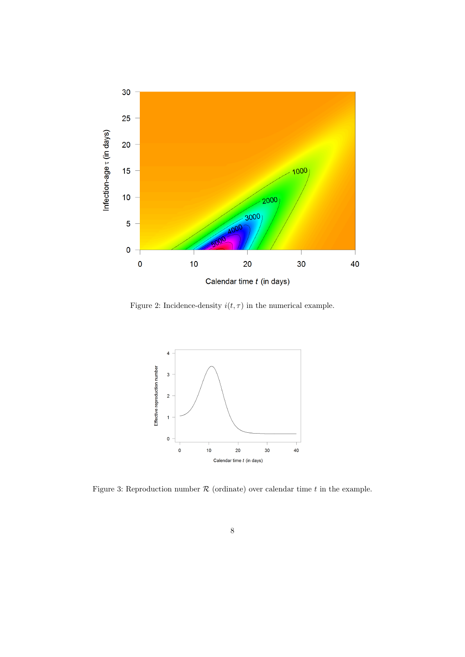

<span id="page-7-0"></span>Figure 2: Incidence-density  $i(t,\tau)$  in the numerical example.



<span id="page-7-1"></span>Figure 3: Reproduction number  $\mathcal R$  (ordinate) over calendar time  $t$  in the example.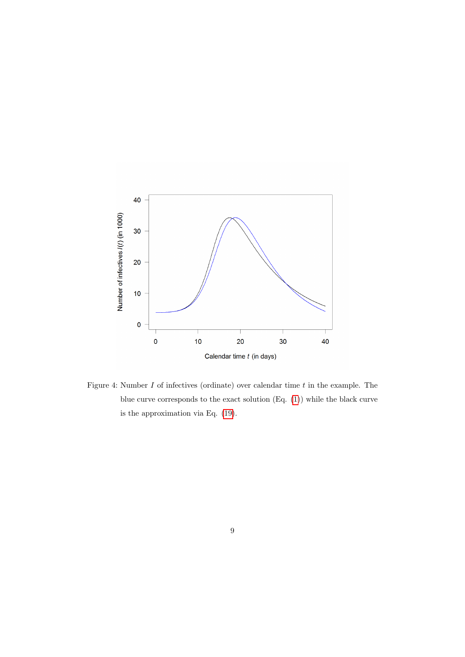

<span id="page-8-0"></span>Figure 4: Number  $I$  of infectives (ordinate) over calendar time  $t$  in the example. The blue curve corresponds to the exact solution (Eq. [\(1\)](#page-1-2)) while the black curve is the approximation via Eq. [\(19\)](#page-5-3).